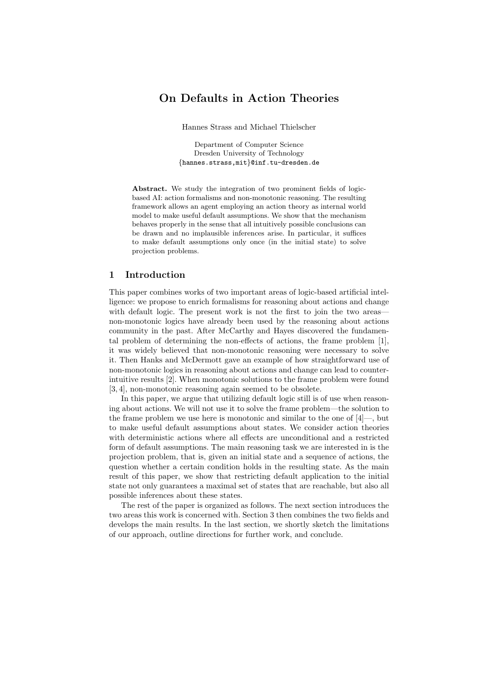# On Defaults in Action Theories

Hannes Strass and Michael Thielscher

Department of Computer Science Dresden University of Technology {hannes.strass,mit}@inf.tu-dresden.de

Abstract. We study the integration of two prominent fields of logicbased AI: action formalisms and non-monotonic reasoning. The resulting framework allows an agent employing an action theory as internal world model to make useful default assumptions. We show that the mechanism behaves properly in the sense that all intuitively possible conclusions can be drawn and no implausible inferences arise. In particular, it suffices to make default assumptions only once (in the initial state) to solve projection problems.

## 1 Introduction

This paper combines works of two important areas of logic-based artificial intelligence: we propose to enrich formalisms for reasoning about actions and change with default logic. The present work is not the first to join the two areasnon-monotonic logics have already been used by the reasoning about actions community in the past. After McCarthy and Hayes discovered the fundamental problem of determining the non-effects of actions, the frame problem [1], it was widely believed that non-monotonic reasoning were necessary to solve it. Then Hanks and McDermott gave an example of how straightforward use of non-monotonic logics in reasoning about actions and change can lead to counterintuitive results [2]. When monotonic solutions to the frame problem were found [3, 4], non-monotonic reasoning again seemed to be obsolete.

In this paper, we argue that utilizing default logic still is of use when reasoning about actions. We will not use it to solve the frame problem—the solution to the frame problem we use here is monotonic and similar to the one of [4]—, but to make useful default assumptions about states. We consider action theories with deterministic actions where all effects are unconditional and a restricted form of default assumptions. The main reasoning task we are interested in is the projection problem, that is, given an initial state and a sequence of actions, the question whether a certain condition holds in the resulting state. As the main result of this paper, we show that restricting default application to the initial state not only guarantees a maximal set of states that are reachable, but also all possible inferences about these states.

The rest of the paper is organized as follows. The next section introduces the two areas this work is concerned with. Section 3 then combines the two fields and develops the main results. In the last section, we shortly sketch the limitations of our approach, outline directions for further work, and conclude.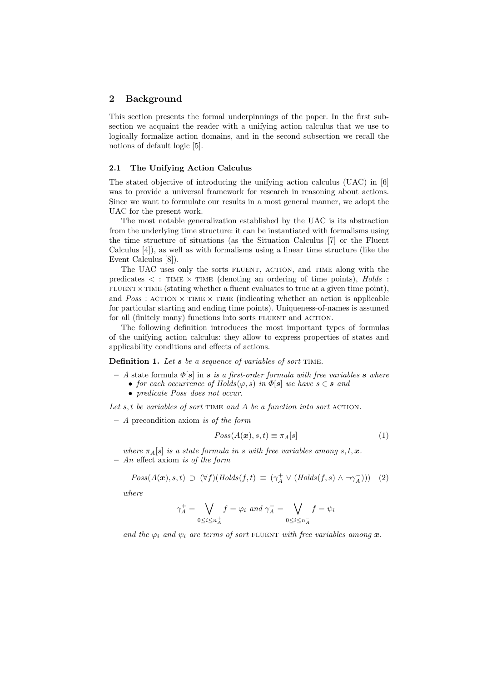### 2 Background

This section presents the formal underpinnings of the paper. In the first subsection we acquaint the reader with a unifying action calculus that we use to logically formalize action domains, and in the second subsection we recall the notions of default logic [5].

### 2.1 The Unifying Action Calculus

The stated objective of introducing the unifying action calculus (UAC) in [6] was to provide a universal framework for research in reasoning about actions. Since we want to formulate our results in a most general manner, we adopt the UAC for the present work.

The most notable generalization established by the UAC is its abstraction from the underlying time structure: it can be instantiated with formalisms using the time structure of situations (as the Situation Calculus [7] or the Fluent Calculus [4]), as well as with formalisms using a linear time structure (like the Event Calculus [8]).

The UAC uses only the sorts FLUENT, ACTION, and TIME along with the predicates  $\lt$ : TIME  $\times$  TIME (denoting an ordering of time points), Holds:  $FLUENT \times TIME$  (stating whether a fluent evaluates to true at a given time point), and  $Poss:$  ACTION  $\times$  TIME  $\times$  TIME (indicating whether an action is applicable for particular starting and ending time points). Uniqueness-of-names is assumed for all (finitely many) functions into sorts FLUENT and ACTION.

The following definition introduces the most important types of formulas of the unifying action calculus: they allow to express properties of states and applicability conditions and effects of actions.

**Definition 1.** Let  $s$  be a sequence of variables of sort TIME.

- A state formula  $\Phi[s]$  in s is a first-order formula with free variables s where
	- for each occurrence of  $Holds(\varphi, s)$  in  $\Phi[s]$  we have  $s \in s$  and
	- predicate Poss does not occur.

Let s, t be variables of sort TIME and  $A$  be a function into sort ACTION.

 $- A$  precondition axiom is of the form

$$
Poss(A(\boldsymbol{x}), s, t) \equiv \pi_A[s] \tag{1}
$$

where  $\pi_A[s]$  is a state formula in s with free variables among s, t, x. – An effect axiom is of the form

$$
Poss(A(\boldsymbol{x}), s, t) \supset (\forall f)(Holds(f, t) \equiv (\gamma_A^+ \vee (Holds(f, s) \wedge \neg \gamma_A^-))) \quad (2)
$$

where

$$
\gamma_A^+ = \bigvee_{0 \le i \le n_A^+} f = \varphi_i \text{ and } \gamma_A^- = \bigvee_{0 \le i \le n_A^-} f = \psi_i
$$

and the  $\varphi_i$  and  $\psi_i$  are terms of sort FLUENT with free variables among x.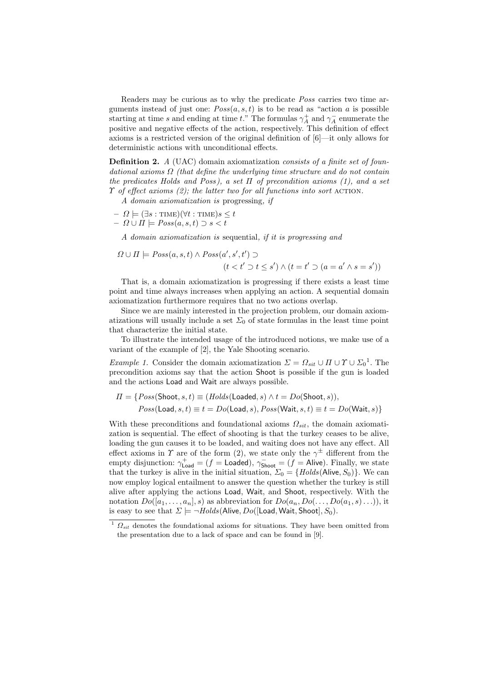Readers may be curious as to why the predicate Poss carries two time arguments instead of just one:  $Poss(a, s, t)$  is to be read as "action a is possible starting at time s and ending at time t." The formulas  $\gamma_A^+$  and  $\gamma_A^-$  enumerate the positive and negative effects of the action, respectively. This definition of effect axioms is a restricted version of the original definition of [6]—it only allows for deterministic actions with unconditional effects.

**Definition 2.** A (UAC) domain axiomatization consists of a finite set of foundational axioms Ω (that define the underlying time structure and do not contain the predicates Holds and Poss), a set  $\Pi$  of precondition axioms (1), and a set  $\Upsilon$  of effect axioms (2); the latter two for all functions into sort ACTION.

A domain axiomatization is progressing, if

- $\Omega \models (\exists s : \text{TIME})(\forall t : \text{TIME})s \leq t$
- $\Omega \cup \Pi$   $\models Poss(a, s, t) \supset s < t$

A domain axiomatization is sequential, if it is progressing and

$$
\Omega \cup \Pi \models Poss(a, s, t) \land Poss(a', s', t') \supset
$$

$$
(t < t' \supset t \le s') \land (t = t' \supset (a = a' \land s = s'))
$$

That is, a domain axiomatization is progressing if there exists a least time point and time always increases when applying an action. A sequential domain axiomatization furthermore requires that no two actions overlap.

Since we are mainly interested in the projection problem, our domain axiomatizations will usually include a set  $\Sigma_0$  of state formulas in the least time point that characterize the initial state.

To illustrate the intended usage of the introduced notions, we make use of a variant of the example of [2], the Yale Shooting scenario.

*Example 1*. Consider the domain axiomatization  $\Sigma = \Omega_{\text{sit}} \cup \Pi \cup \Upsilon \cup \Sigma_0^{-1}$ . The precondition axioms say that the action Shoot is possible if the gun is loaded and the actions Load and Wait are always possible.

$$
\Pi = \{ Poss(\text{Show}, s, t) \equiv (\text{Holds}(\text{Loaded}, s) \land t = Do(\text{Show}, s)),
$$

$$
Poss(\text{Load}, s, t) \equiv t = Do(\text{Load}, s), Poss(\text{Wait}, s, t) \equiv t = Do(\text{Wait}, s)\}
$$

With these preconditions and foundational axioms  $\Omega_{sit}$ , the domain axiomatization is sequential. The effect of shooting is that the turkey ceases to be alive, loading the gun causes it to be loaded, and waiting does not have any effect. All effect axioms in  $\Upsilon$  are of the form (2), we state only the  $\gamma^{\pm}$  different from the empty disjunction:  $\gamma_{\text{Load}}^+ = (f = \text{Loaded})$ ,  $\gamma_{\text{Showot}}^- = (f = \text{Alive})$ . Finally, we state that the turkey is alive in the initial situation,  $\Sigma_0 = \{Holds(\text{Alive}, S_0)\}$ . We can now employ logical entailment to answer the question whether the turkey is still alive after applying the actions Load, Wait, and Shoot, respectively. With the notation  $Do([a_1, \ldots, a_n], s)$  as abbreviation for  $Do(a_n, Do(\ldots, Do(a_1, s) \ldots))$ , it is easy to see that  $\Sigma \models \neg \text{Holds}(\text{Alive}, \text{Do}(\text{Load}, \text{Wait}, \text{Show}), S_0)$ .

 $\Omega_{sit}$  denotes the foundational axioms for situations. They have been omitted from the presentation due to a lack of space and can be found in [9].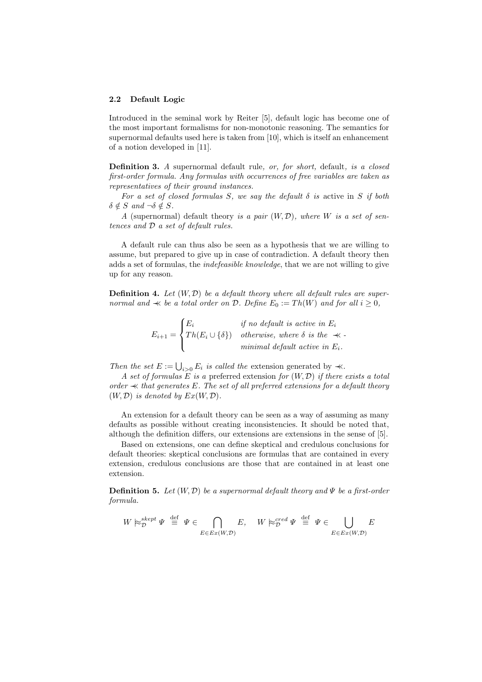#### 2.2 Default Logic

Introduced in the seminal work by Reiter [5], default logic has become one of the most important formalisms for non-monotonic reasoning. The semantics for supernormal defaults used here is taken from [10], which is itself an enhancement of a notion developed in [11].

Definition 3. A supernormal default rule, or, for short, default, is a closed first-order formula. Any formulas with occurrences of free variables are taken as representatives of their ground instances.

For a set of closed formulas S, we say the default  $\delta$  is active in S if both  $\delta \notin S$  and  $\neg \delta \notin S$ .

A (supernormal) default theory is a pair  $(W, \mathcal{D})$ , where W is a set of sentences and D a set of default rules.

A default rule can thus also be seen as a hypothesis that we are willing to assume, but prepared to give up in case of contradiction. A default theory then adds a set of formulas, the indefeasible knowledge, that we are not willing to give up for any reason.

**Definition 4.** Let  $(W, \mathcal{D})$  be a default theory where all default rules are supernormal and  $\prec$  be a total order on  $\mathcal D$ . Define  $E_0 := Th(W)$  and for all  $i \geq 0$ ,

$$
E_{i+1} = \begin{cases} E_i & \text{if no default is active in } E_i \\ Th(E_i \cup \{\delta\}) & \text{otherwise, where } \delta \text{ is the } \prec \prec \\ & \text{minimal default active in } E_i. \end{cases}
$$

Then the set  $E := \bigcup_{i>0} E_i$  is called the extension generated by  $\prec\!\!\prec$ .

A set of formulas  $E$  is a preferred extension for  $(W, \mathcal{D})$  if there exists a total order  $\prec$  that generates E. The set of all preferred extensions for a default theory  $(W, \mathcal{D})$  is denoted by  $Ex(W, \mathcal{D})$ .

An extension for a default theory can be seen as a way of assuming as many defaults as possible without creating inconsistencies. It should be noted that, although the definition differs, our extensions are extensions in the sense of [5].

Based on extensions, one can define skeptical and credulous conclusions for default theories: skeptical conclusions are formulas that are contained in every extension, credulous conclusions are those that are contained in at least one extension.

**Definition 5.** Let  $(W, \mathcal{D})$  be a supernormal default theory and  $\Psi$  be a first-order formula.

$$
W \succcurlyeq_{\mathcal{D}}^{skept} \Psi \stackrel{\text{def}}{=} \Psi \in \bigcap_{E \in Ex(W,\mathcal{D})} E, \quad W \succcurlyeq_{\mathcal{D}}^{cred} \Psi \stackrel{\text{def}}{=} \Psi \in \bigcup_{E \in Ex(W,\mathcal{D})} E
$$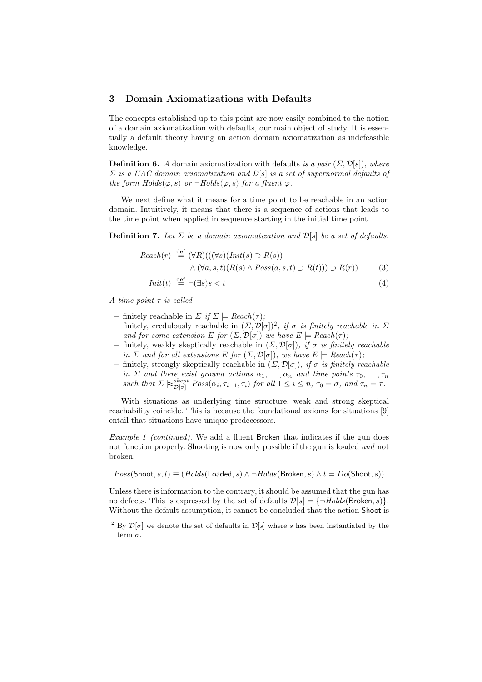### 3 Domain Axiomatizations with Defaults

The concepts established up to this point are now easily combined to the notion of a domain axiomatization with defaults, our main object of study. It is essentially a default theory having an action domain axiomatization as indefeasible knowledge.

**Definition 6.** A domain axiomatization with defaults is a pair  $(\Sigma, \mathcal{D}[s])$ , where  $\Sigma$  is a UAC domain axiomatization and  $\mathcal{D}[s]$  is a set of supernormal defaults of the form  $Holds(\varphi, s)$  or  $\neg Holds(\varphi, s)$  for a fluent  $\varphi$ .

We next define what it means for a time point to be reachable in an action domain. Intuitively, it means that there is a sequence of actions that leads to the time point when applied in sequence starting in the initial time point.

**Definition 7.** Let  $\Sigma$  be a domain axiomatization and  $\mathcal{D}[s]$  be a set of defaults.

$$
Reach(r) \stackrel{\text{def}}{=} (\forall R)(( (\forall s)(Init(s) \supset R(s))\land (\forall a, s, t)(R(s) \land Poss(a, s, t) \supset R(t))) \supset R(r))
$$
(3)

$$
Init(t) \stackrel{\text{def}}{=} \neg (\exists s) s < t \tag{4}
$$

A time point  $\tau$  is called

- finitely reachable in  $\Sigma$  if  $\Sigma \models \text{Reach}(\tau)$ ;
- finitely, credulously reachable in  $(\Sigma, \mathcal{D}[\sigma])^2$ , if  $\sigma$  is finitely reachable in  $\Sigma$ and for some extension E for  $(\Sigma, \mathcal{D}[\sigma])$  we have  $E \models$  Reach $(\tau)$ ;
- finitely, weakly skeptically reachable in  $(\Sigma, \mathcal{D}[\sigma])$ , if  $\sigma$  is finitely reachable in  $\Sigma$  and for all extensions E for  $(\Sigma, \mathcal{D}[\sigma])$ , we have  $E \models$  Reach $(\tau)$ ;
- finitely, strongly skeptically reachable in  $(\Sigma, \mathcal{D}[\sigma])$ , if  $\sigma$  is finitely reachable in  $\Sigma$  and there exist ground actions  $\alpha_1, \ldots, \alpha_n$  and time points  $\tau_0, \ldots, \tau_n$ such that  $\Sigma \succ \succ^{\text{sk}ept}_{\mathcal{D}[\sigma]} Poss(\alpha_i, \tau_{i-1}, \tau_i)$  for all  $1 \leq i \leq n$ ,  $\tau_0 = \sigma$ , and  $\tau_n = \tau$ .

With situations as underlying time structure, weak and strong skeptical reachability coincide. This is because the foundational axioms for situations [9] entail that situations have unique predecessors.

Example 1 (continued). We add a fluent Broken that indicates if the gun does not function properly. Shooting is now only possible if the gun is loaded and not broken:

 $Poss(\text{Show, } s, t) \equiv (Holds(\text{Loaded}, s) \land \neg Holds(\text{Brown, } s) \land t = Do(\text{Show, } s))$ 

Unless there is information to the contrary, it should be assumed that the gun has no defects. This is expressed by the set of defaults  $\mathcal{D}[s] = \{\neg Holds(\text{Broken}, s)\}.$ Without the default assumption, it cannot be concluded that the action Shoot is

<sup>&</sup>lt;sup>2</sup> By  $\mathcal{D}[\sigma]$  we denote the set of defaults in  $\mathcal{D}[s]$  where s has been instantiated by the term  $\sigma$ .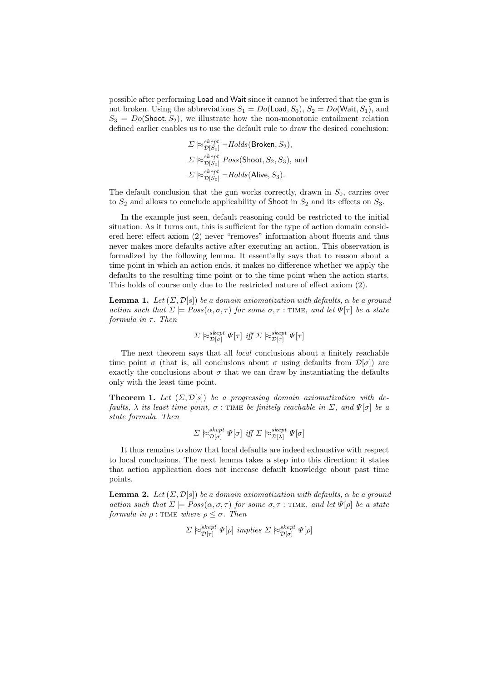possible after performing Load and Wait since it cannot be inferred that the gun is not broken. Using the abbreviations  $S_1 = Do(\text{Load}, S_0), S_2 = Do(\text{Wait}, S_1)$ , and  $S_3 = Do($ Shoot,  $S_2$ ), we illustrate how the non-monotonic entailment relation defined earlier enables us to use the default rule to draw the desired conclusion:

$$
\Sigma \models_{\mathcal{D}[S_0]}^{skept} \neg Holds(\text{Broken}, S_2),
$$
  
\n
$$
\Sigma \models_{\mathcal{D}[S_0]}^{skept} Poss(\text{Shoot}, S_2, S_3), \text{ and}
$$
  
\n
$$
\Sigma \models_{\mathcal{D}[S_0]}^{skept} \neg Holds(\text{Alive}, S_3).
$$

The default conclusion that the gun works correctly, drawn in  $S_0$ , carries over to  $S_2$  and allows to conclude applicability of Shoot in  $S_2$  and its effects on  $S_3$ .

In the example just seen, default reasoning could be restricted to the initial situation. As it turns out, this is sufficient for the type of action domain considered here: effect axiom (2) never "removes" information about fluents and thus never makes more defaults active after executing an action. This observation is formalized by the following lemma. It essentially says that to reason about a time point in which an action ends, it makes no difference whether we apply the defaults to the resulting time point or to the time point when the action starts. This holds of course only due to the restricted nature of effect axiom (2).

**Lemma 1.** Let  $(\Sigma, \mathcal{D}[s])$  be a domain axiomatization with defaults,  $\alpha$  be a ground action such that  $\Sigma \models Poss(\alpha, \sigma, \tau)$  for some  $\sigma, \tau$ : TIME, and let  $\Psi[\tau]$  be a state formula in  $\tau$ . Then

$$
\Sigma \hspace{0.2em}\mathop{\triangleright}\nolimits^{skept}_{\mathcal{D}[\sigma]} \Psi[\tau] \hspace{0.2em} \mathop{if}\nolimits \Sigma \hspace{0.2em}\mathop{\triangleright}\nolimits^{skept}_{\mathcal{D}[\tau]} \Psi[\tau]
$$

The next theorem says that all *local* conclusions about a finitely reachable time point  $\sigma$  (that is, all conclusions about  $\sigma$  using defaults from  $\mathcal{D}[\sigma]$ ) are exactly the conclusions about  $\sigma$  that we can draw by instantiating the defaults only with the least time point.

**Theorem 1.** Let  $(\Sigma, \mathcal{D}[s])$  be a progressing domain axiomatization with defaults,  $\lambda$  its least time point,  $\sigma$ : TIME be finitely reachable in  $\Sigma$ , and  $\Psi[\sigma]$  be a state formula. Then

$$
\varSigma \hspace{0.05cm}\succcurlyeq^{skept}_{\mathcal{D}[\sigma]}\Psi[\sigma]\hspace{0.05cm} \text{ iff } \varSigma \hspace{0.05cm}\succcurlyeq^{skept}_{\mathcal{D}[\lambda]}\Psi[\sigma]
$$

It thus remains to show that local defaults are indeed exhaustive with respect to local conclusions. The next lemma takes a step into this direction: it states that action application does not increase default knowledge about past time points.

**Lemma 2.** Let  $(\Sigma, \mathcal{D}[s])$  be a domain axiomatization with defaults,  $\alpha$  be a ground action such that  $\Sigma \models Poss(\alpha, \sigma, \tau)$  for some  $\sigma, \tau$ : TIME, and let  $\Psi[\rho]$  be a state formula in  $\rho$ : TIME where  $\rho \leq \sigma$ . Then

$$
\Sigma \hspace{0.2em}\approx\hspace{-0.9em}\mid\hspace{0.58em} \mathop{\rm s\hspace{0.3em}k e p t}\limits^{} \Psi[\rho] \hspace{0.2em} implies \hspace{0.2em} \Sigma \hspace{0.2em}\approx\hspace{-0.9em}\mid\hspace{0.58em} \mathop{\rm s\hspace{0.3em}k e p t}\limits^{} \Psi[\rho]
$$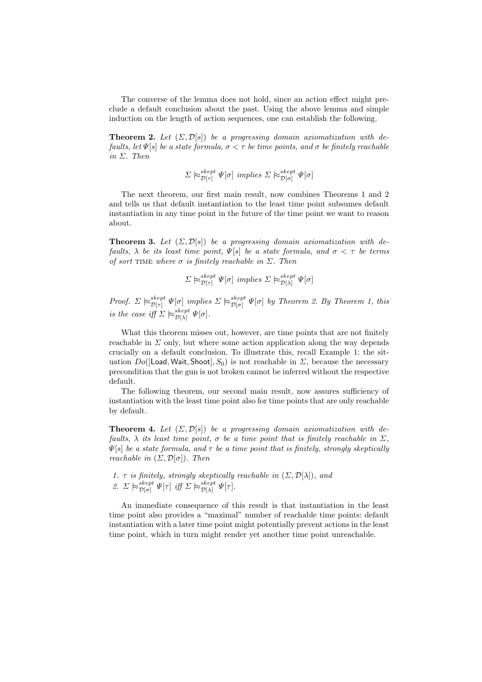The converse of the lemma does not hold, since an action effect might preclude a default conclusion about the past. Using the above lemma and simple induction on the length of action sequences, one can establish the following.

**Theorem 2.** Let  $(\Sigma, \mathcal{D}[s])$  be a progressing domain axiomatization with defaults, let  $\Psi[s]$  be a state formula,  $\sigma \leq \tau$  be time points, and  $\sigma$  be finitely reachable in  $\Sigma$ . Then

$$
\Sigma \hspace{0.05cm}\approx\hspace{-0.05cm} \infty^{skept} \hspace{0.05cm} \Psi[\sigma] \hspace{0.05cm}\text{implies}\hspace{0.05cm} \Sigma \hspace{0.05cm}\approx\hspace{-0.05cm} \infty^{skept} \hspace{0.05cm} \Psi[\sigma]
$$

The next theorem, our first main result, now combines Theorems 1 and 2 and tells us that default instantiation to the least time point subsumes default instantiation in any time point in the future of the time point we want to reason about.

**Theorem 3.** Let  $(\Sigma, \mathcal{D}[s])$  be a progressing domain axiomatization with defaults,  $\lambda$  be its least time point,  $\Psi[s]$  be a state formula, and  $\sigma < \tau$  be terms of sort TIME where  $\sigma$  is finitely reachable in  $\Sigma$ . Then

$$
\Sigma \hspace{0.05cm}\approx\hspace{-0.05cm} \infty^{skept} \hspace{0.05cm} \Psi[\sigma] \hspace{0.05cm}\text{implies}\hspace{0.05cm} \Sigma \hspace{0.05cm}\approx\hspace{-0.05cm} \infty^{skept} \hspace{0.05cm} \Psi[\sigma]
$$

Proof.  $\Sigma \Join_{\mathcal{D}[\tau]}^{skept} \Psi[\sigma]$  implies  $\Sigma \Join_{\mathcal{D}[\sigma]}^{skept} \Psi[\sigma]$  by Theorem 2. By Theorem 1, this is the case iff  $\Sigma \Join_{\mathcal{D}[\lambda]}^{skept} \Psi[\sigma]$ .

What this theorem misses out, however, are time points that are not finitely reachable in  $\Sigma$  only, but where some action application along the way depends crucially on a default conclusion. To illustrate this, recall Example 1: the situation  $Do([Load, Wait, shoot], S_0)$  is not reachable in  $\Sigma$ , because the necessary precondition that the gun is not broken cannot be inferred without the respective default.

The following theorem, our second main result, now assures sufficiency of instantiation with the least time point also for time points that are only reachable by default.

**Theorem 4.** Let  $(\Sigma, \mathcal{D}[s])$  be a progressing domain axiomatization with defaults,  $\lambda$  its least time point,  $\sigma$  be a time point that is finitely reachable in  $\Sigma$ ,  $\Psi[s]$  be a state formula, and  $\tau$  be a time point that is finitely, strongly skeptically reachable in  $(\Sigma, \mathcal{D}[\sigma])$ . Then

1.  $\tau$  is finitely, strongly skeptically reachable in  $(\Sigma, \mathcal{D}[\lambda])$ , and 2.  $\Sigma \Join_{\mathcal{D}[\sigma]}^{\text{skept}} \Psi[\tau]$  iff  $\Sigma \Join_{\mathcal{D}[\lambda]}^{\text{skept}} \Psi[\tau]$ .

An immediate consequence of this result is that instantiation in the least time point also provides a "maximal" number of reachable time points: default instantiation with a later time point might potentially prevent actions in the least time point, which in turn might render yet another time point unreachable.